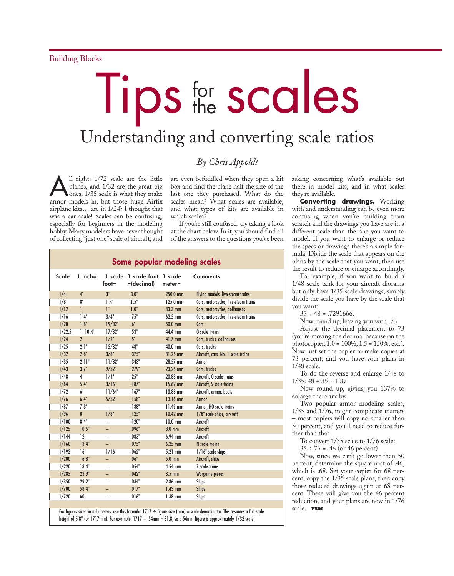## Tips for the **scales**

## Understanding and converting scale ratios

## *By Chris Appoldt*

1 right: 1/72 scale are the little<br>planes, and 1/32 are the great big<br>ones. 1/35 scale is what they make planes, and 1/32 are the great big ones. 1/35 scale is what they make armor models in, but those huge Airfix airplane kits… are in 1/24? I thought that was a car scale! Scales can be confusing, especially for beginners in the modeling hobby. Many modelers have never thought of collecting "just one" scale of aircraft, and

are even befuddled when they open a kit box and find the plane half the size of the last one they purchased. What do the scales mean? What scales are available, and what types of kits are available in which scales?

If you're still confused, try taking a look at the chart below. In it, you should find all of the answers to the questions you've been

## **Some popular modeling scales**

| Scale  | $1$ inch=           | $foot =$                 | 1 scale 1 scale foot 1 scale<br>$=$ (decimal) | $meter =$        | <b>Comments</b>                      |
|--------|---------------------|--------------------------|-----------------------------------------------|------------------|--------------------------------------|
| 1/4    | 4"                  | 3"                       | 3.0"                                          | 250.0 mm         | Flying models, live-steam trains     |
| 1/8    | 8"                  | $1\frac{1}{2}$           | 1.5"                                          | 125.0 mm         | Cars, motorcycles, live-steam trains |
| 1/12   | Ľ                   | ľ.                       | 1.0"                                          | 83.3 mm          | Cars, motorcycles, dollhouses        |
| 1/16   | 1'4"                | 3/4"                     | .75"                                          | 62.5 mm          | Cars, motorcycles, live-steam trains |
| 1/20   | 1'8"                | 19/32"                   | .6"                                           | 50.0 mm          | Cars                                 |
| 1/22.5 | $1'10\frac{1}{2}''$ | 17/32"                   | .53"                                          | 44.4 mm          | <b>G</b> scale trains                |
| 1/24   | $2^{\circ}$         | $1/2$ "                  | .5"                                           | $41.7$ mm        | Cars, trucks, dollhouses             |
| 1/25   | 2'1"                | 15/32"                   | .48"                                          | 40.0 mm          | Cars, trucks                         |
| 1/32   | 2'8"                | 3/8"                     | .375"                                         | 31.25 mm         | Aircraft, cars, No. 1 scale trains   |
| 1/35   | 2'11''              | 11/32"                   | .343"                                         | 28.57 mm         | Armor                                |
| 1/43   | 3'7''               | 9/32"                    | .279"                                         | 23.25 mm         | Cars, trucks                         |
| 1/48   | $4^{\circ}$         | 1/4"                     | .25"                                          | $20.83$ mm       | Aircraft, O scale trains             |
| 1/64   | 5'4''               | 3/16"                    | .187"                                         | 15.62 mm         | Aircraft, S scale trains             |
| 1/72   | 6'                  | 11/64"                   | .167"                                         | 13.88 mm         | Aircraft, armor, boats               |
| 1/76   | 6'4"                | 5/32"                    | .158"                                         | 13.16 mm         | <b>Armor</b>                         |
| 1/87   | 7'3''               |                          | .138"                                         | $11.49$ mm       | Armor, HO scale trains               |
| 1/96   | 8 <sup>1</sup>      | 1/8"                     | .125"                                         | $10.42$ mm       | 1/8" scale ships, aircraft           |
| 1/100  | 8'4"                |                          | .120"                                         | $10.0$ mm        | Aircraft                             |
| 1/125  | 10'5"               | -                        | .096"                                         | $8.0 \text{ mm}$ | Aircraft                             |
| 1/144  | 12'                 | $\overline{\phantom{0}}$ | .083"                                         | $6.94$ mm        | Aircraft                             |
| 1/160  | 13'4"               |                          | .075"                                         | $6.25$ mm        | N scale trains                       |
| 1/192  | 16'                 | 1/16"                    | .062"                                         | 5.21 mm          | $1/16$ " scale ships                 |
| 1/200  | 16'8''              | -                        | .06"                                          | $5.0$ mm         | Aircraft, ships                      |
| 1/220  | 18'4"               | $\overline{\phantom{0}}$ | .054"                                         | 4.54 mm          | Z scale trains                       |
| 1/285  | 23'9"               | -                        | .042"                                         | $3.5 \text{ mm}$ | <b>Wargame pieces</b>                |
| 1/350  | 29'2"               |                          | .034"                                         | 2.86 mm          | <b>Ships</b>                         |
| 1/700  | 58'4"               | -                        | .017"                                         | $1.43$ mm        | <b>Ships</b>                         |
| 1/720  | 60'                 | $\overline{\phantom{0}}$ | .016"                                         | $1.38$ mm        | <b>Ships</b>                         |
|        |                     |                          |                                               |                  |                                      |

For figures sized in millimeters, use this formula: 1717  $\div$  figure size (mm) = scale denominator. This assumes a full-scale height of 5'8" (or 1717mm). For example, 1717  $\div$  54mm = 31.8, so a 54mm figure is approximately 1/32 scale.

asking concerning what's available out there in model kits, and in what scales they're available.

**Converting drawings.** Working with and understanding can be even more confusing when you're building from scratch and the drawings you have are in a different scale than the one you want to model. If you want to enlarge or reduce the specs or drawings there's a simple formula: Divide the scale that appears on the plans by the scale that you want, then use the result to reduce or enlarge accordingly.

For example, if you want to build a 1/48 scale tank for your aircraft diorama but only have 1/35 scale drawings, simply divide the scale you have by the scale that you want:

 $35 \div 48 = .7291666.$ 

Now round up, leaving you with .73

Adjust the decimal placement to 73 (you're moving the decimal because on the photocopier, 1.0 = 100%, 1.5 = 150%, etc.). Now just set the copier to make copies at 73 percent, and you have your plans in 1/48 scale.

To do the reverse and enlarge 1/48 to  $1/35: 48 \div 35 = 1.37$ 

Now round up, giving you 137% to enlarge the plans by.

Two popular armor modeling scales, 1/35 and 1/76, might complicate matters – most copiers will copy no smaller than 50 percent, and you'll need to reduce further than that.

To convert 1/35 scale to 1/76 scale:

 $35 \div 76 = .46$  (or 46 percent)

Now, since we can't go lower than 50 percent, determine the square root of .46, which is .68. Set your copier for 68 percent, copy the 1/35 scale plans, then copy those reduced drawings again at 68 percent. These will give you the 46 percent reduction, and your plans are now in 1/76 scale. **FSM**